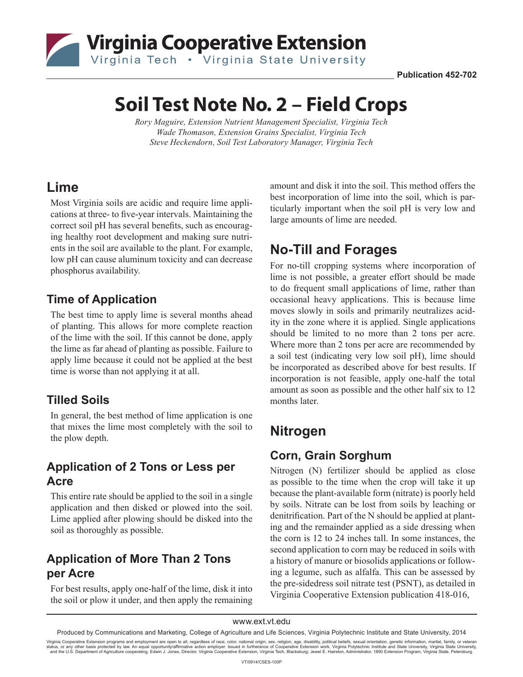

**Publication 452-702**

# **Soil Test Note No. 2 – Field Crops**

*Rory Maguire, Extension Nutrient Management Specialist, Virginia Tech Wade Thomason, Extension Grains Specialist, Virginia Tech Steve Heckendorn, Soil Test Laboratory Manager, Virginia Tech*

### **Lime**

Most Virginia soils are acidic and require lime applications at three- to five-year intervals. Maintaining the correct soil pH has several benefits, such as encouraging healthy root development and making sure nutrients in the soil are available to the plant. For example, low pH can cause aluminum toxicity and can decrease phosphorus availability.

### **Time of Application**

The best time to apply lime is several months ahead of planting. This allows for more complete reaction of the lime with the soil. If this cannot be done, apply the lime as far ahead of planting as possible. Failure to apply lime because it could not be applied at the best time is worse than not applying it at all.

#### **Tilled Soils**

In general, the best method of lime application is one that mixes the lime most completely with the soil to the plow depth.

#### **Application of 2 Tons or Less per Acre**

This entire rate should be applied to the soil in a single application and then disked or plowed into the soil. Lime applied after plowing should be disked into the soil as thoroughly as possible.

#### **Application of More Than 2 Tons per Acre**

For best results, apply one-half of the lime, disk it into the soil or plow it under, and then apply the remaining amount and disk it into the soil. This method offers the best incorporation of lime into the soil, which is particularly important when the soil pH is very low and large amounts of lime are needed.

# **No-Till and Forages**

For no-till cropping systems where incorporation of lime is not possible, a greater effort should be made to do frequent small applications of lime, rather than occasional heavy applications. This is because lime moves slowly in soils and primarily neutralizes acidity in the zone where it is applied. Single applications should be limited to no more than 2 tons per acre. Where more than 2 tons per acre are recommended by a soil test (indicating very low soil pH), lime should be incorporated as described above for best results. If incorporation is not feasible, apply one-half the total amount as soon as possible and the other half six to 12 months later.

# **Nitrogen**

#### **Corn, Grain Sorghum**

Nitrogen (N) fertilizer should be applied as close as possible to the time when the crop will take it up because the plant-available form (nitrate) is poorly held by soils. Nitrate can be lost from soils by leaching or denitrification. Part of the N should be applied at planting and the remainder applied as a side dressing when the corn is 12 to 24 inches tall. In some instances, the second application to corn may be reduced in soils with a history of manure or biosolids applications or following a legume, such as alfalfa. This can be assessed by the pre-sidedress soil nitrate test (PSNT), as detailed in Virginia Cooperative Extension publication 418-016,

www.ext.vt.edu

Virginia Cooperative Extension programs and employment are open to all, regardless of race, color, national origin, sex, religion, age, disability, political beliefs, sexual orientation, genetic information, marital, famil status, or any other basis protected by law. An equal opportunity/affirmative action employer. Issued in furtherance of Cooperative Extension work, Virginia Polytechnic Institute and State University, Virginia State Univer

Produced by Communications and Marketing, College of Agriculture and Life Sciences, Virginia Polytechnic Institute and State University, 2014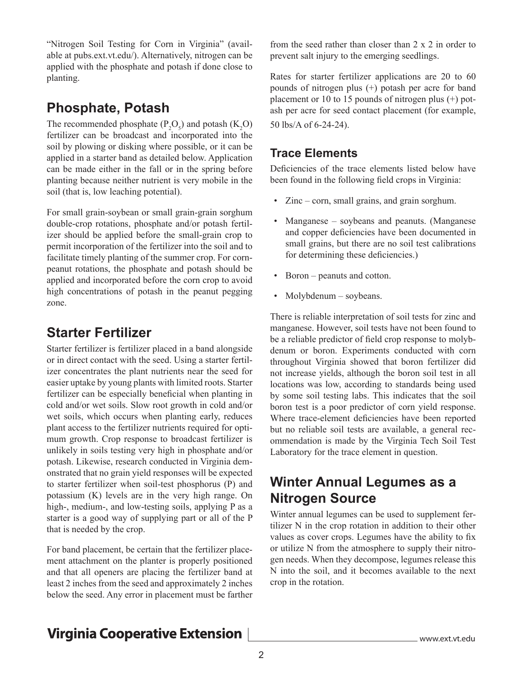"Nitrogen Soil Testing for Corn in Virginia" (available at pubs.ext.vt.edu/). Alternatively, nitrogen can be applied with the phosphate and potash if done close to planting.

# **Phosphate, Potash**

The recommended phosphate  $(P_2O_5)$  and potash  $(K_2O)$ fertilizer can be broadcast and incorporated into the soil by plowing or disking where possible, or it can be applied in a starter band as detailed below. Application can be made either in the fall or in the spring before planting because neither nutrient is very mobile in the soil (that is, low leaching potential).

For small grain-soybean or small grain-grain sorghum double-crop rotations, phosphate and/or potash fertilizer should be applied before the small-grain crop to permit incorporation of the fertilizer into the soil and to facilitate timely planting of the summer crop. For cornpeanut rotations, the phosphate and potash should be applied and incorporated before the corn crop to avoid high concentrations of potash in the peanut pegging zone.

### **Starter Fertilizer**

Starter fertilizer is fertilizer placed in a band alongside or in direct contact with the seed. Using a starter fertilizer concentrates the plant nutrients near the seed for easier uptake by young plants with limited roots. Starter fertilizer can be especially beneficial when planting in cold and/or wet soils. Slow root growth in cold and/or wet soils, which occurs when planting early, reduces plant access to the fertilizer nutrients required for optimum growth. Crop response to broadcast fertilizer is unlikely in soils testing very high in phosphate and/or potash. Likewise, research conducted in Virginia demonstrated that no grain yield responses will be expected to starter fertilizer when soil-test phosphorus (P) and potassium (K) levels are in the very high range. On high-, medium-, and low-testing soils, applying P as a starter is a good way of supplying part or all of the P that is needed by the crop.

For band placement, be certain that the fertilizer placement attachment on the planter is properly positioned and that all openers are placing the fertilizer band at least 2 inches from the seed and approximately 2 inches below the seed. Any error in placement must be farther from the seed rather than closer than 2 x 2 in order to prevent salt injury to the emerging seedlings.

Rates for starter fertilizer applications are 20 to 60 pounds of nitrogen plus (+) potash per acre for band placement or 10 to 15 pounds of nitrogen plus (+) potash per acre for seed contact placement (for example, 50 lbs/A of 6-24-24).

#### **Trace Elements**

Deficiencies of the trace elements listed below have been found in the following field crops in Virginia:

- Zinc corn, small grains, and grain sorghum.
- Manganese soybeans and peanuts. (Manganese and copper deficiencies have been documented in small grains, but there are no soil test calibrations for determining these deficiencies.)
- Boron peanuts and cotton.
- Molybdenum soybeans.

There is reliable interpretation of soil tests for zinc and manganese. However, soil tests have not been found to be a reliable predictor of field crop response to molybdenum or boron. Experiments conducted with corn throughout Virginia showed that boron fertilizer did not increase yields, although the boron soil test in all locations was low, according to standards being used by some soil testing labs. This indicates that the soil boron test is a poor predictor of corn yield response. Where trace-element deficiencies have been reported but no reliable soil tests are available, a general recommendation is made by the Virginia Tech Soil Test Laboratory for the trace element in question.

# **Winter Annual Legumes as a Nitrogen Source**

Winter annual legumes can be used to supplement fertilizer N in the crop rotation in addition to their other values as cover crops. Legumes have the ability to fix or utilize N from the atmosphere to supply their nitrogen needs. When they decompose, legumes release this N into the soil, and it becomes available to the next crop in the rotation.

# **Virginia Cooperative Extension**